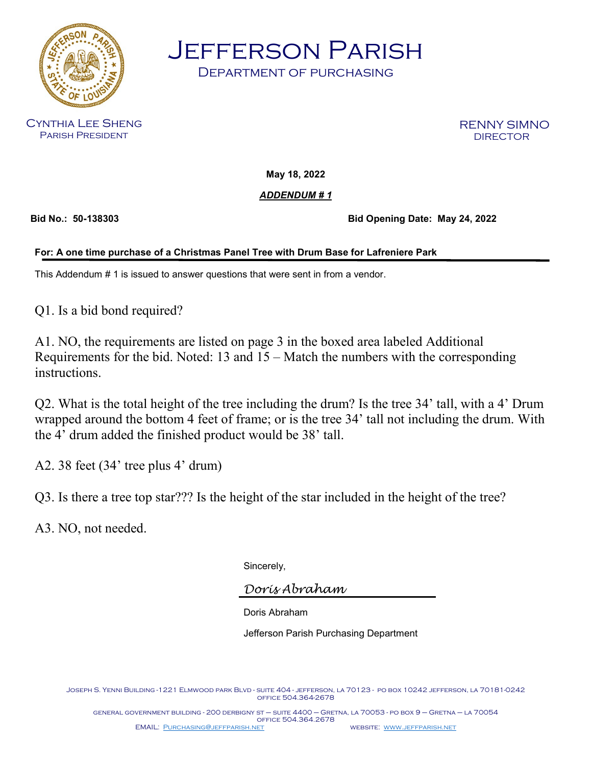

Jefferson Parish

Department of purchasing

Cynthia Lee Sheng Parish President

RENNY SIMNO DIRECTOR

**May 18, 2022**

*ADDENDUM # 1*

**Bid No.: 50-138303 Bid Opening Date: May 24, 2022**

## **For: A one time purchase of a Christmas Panel Tree with Drum Base for Lafreniere Park**

This Addendum # 1 is issued to answer questions that were sent in from a vendor.

Q1. Is a bid bond required?

A1. NO, the requirements are listed on page 3 in the boxed area labeled Additional Requirements for the bid. Noted: 13 and 15 – Match the numbers with the corresponding instructions.

Q2. What is the total height of the tree including the drum? Is the tree 34' tall, with a 4' Drum wrapped around the bottom 4 feet of frame; or is the tree 34' tall not including the drum. With the 4' drum added the finished product would be 38' tall.

A2. 38 feet (34' tree plus 4' drum)

Q3. Is there a tree top star??? Is the height of the star included in the height of the tree?

A3. NO, not needed.

Sincerely,

*Doris Abraham*

Doris Abraham

Jefferson Parish Purchasing Department

Joseph S. Yenni Building -1221 Elmwood park Blvd - suite 404 - jefferson, la 70123 - po box 10242 jefferson, la 70181-0242 office 504.364-2678